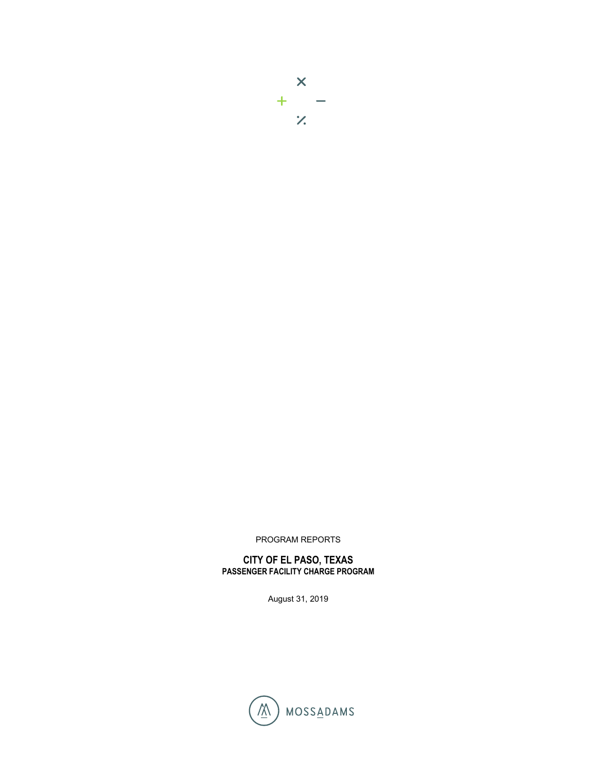

PROGRAM REPORTS

**CITY OF EL PASO, TEXAS PASSENGER FACILITY CHARGE PROGRAM**

August 31, 2019

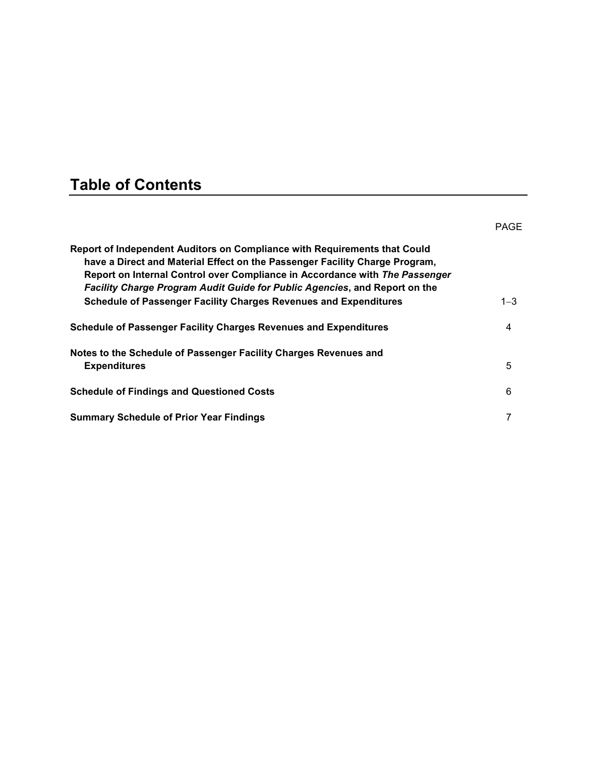# **Table of Contents**

|                                                                                                                                                                                                                                                                                                                              | <b>PAGE</b> |
|------------------------------------------------------------------------------------------------------------------------------------------------------------------------------------------------------------------------------------------------------------------------------------------------------------------------------|-------------|
| Report of Independent Auditors on Compliance with Requirements that Could<br>have a Direct and Material Effect on the Passenger Facility Charge Program,<br>Report on Internal Control over Compliance in Accordance with The Passenger<br><b>Facility Charge Program Audit Guide for Public Agencies, and Report on the</b> |             |
| <b>Schedule of Passenger Facility Charges Revenues and Expenditures</b>                                                                                                                                                                                                                                                      | $1 - 3$     |
| <b>Schedule of Passenger Facility Charges Revenues and Expenditures</b>                                                                                                                                                                                                                                                      | 4           |
| Notes to the Schedule of Passenger Facility Charges Revenues and                                                                                                                                                                                                                                                             |             |
| <b>Expenditures</b>                                                                                                                                                                                                                                                                                                          | 5           |
| <b>Schedule of Findings and Questioned Costs</b>                                                                                                                                                                                                                                                                             | 6           |
| <b>Summary Schedule of Prior Year Findings</b>                                                                                                                                                                                                                                                                               | 7           |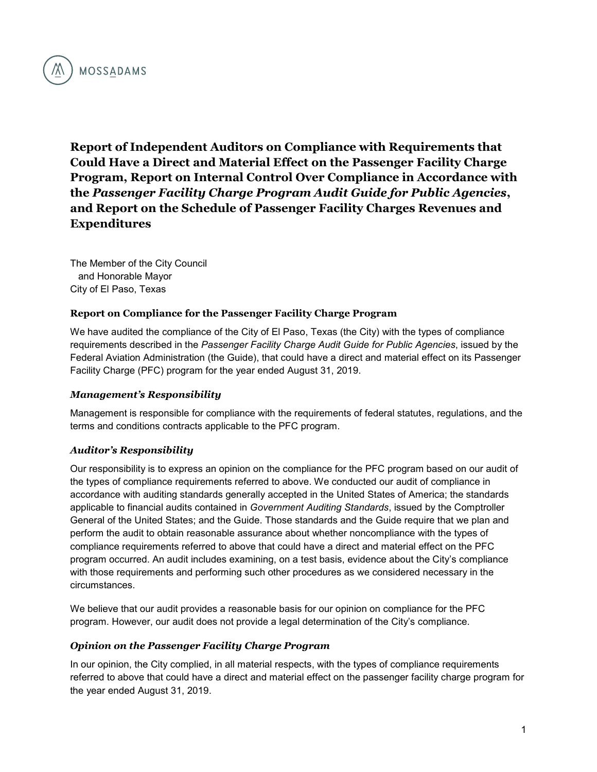

**Report of Independent Auditors on Compliance with Requirements that Could Have a Direct and Material Effect on the Passenger Facility Charge Program, Report on Internal Control Over Compliance in Accordance with the** *Passenger Facility Charge Program Audit Guide for Public Agencies***, and Report on the Schedule of Passenger Facility Charges Revenues and Expenditures**

The Member of the City Council and Honorable Mayor City of El Paso, Texas

#### **Report on Compliance for the Passenger Facility Charge Program**

We have audited the compliance of the City of El Paso, Texas (the City) with the types of compliance requirements described in the *Passenger Facility Charge Audit Guide for Public Agencies*, issued by the Federal Aviation Administration (the Guide), that could have a direct and material effect on its Passenger Facility Charge (PFC) program for the year ended August 31, 2019.

#### *Management's Responsibility*

Management is responsible for compliance with the requirements of federal statutes, regulations, and the terms and conditions contracts applicable to the PFC program.

#### *Auditor's Responsibility*

Our responsibility is to express an opinion on the compliance for the PFC program based on our audit of the types of compliance requirements referred to above. We conducted our audit of compliance in accordance with auditing standards generally accepted in the United States of America; the standards applicable to financial audits contained in *Government Auditing Standards*, issued by the Comptroller General of the United States; and the Guide. Those standards and the Guide require that we plan and perform the audit to obtain reasonable assurance about whether noncompliance with the types of compliance requirements referred to above that could have a direct and material effect on the PFC program occurred. An audit includes examining, on a test basis, evidence about the City's compliance with those requirements and performing such other procedures as we considered necessary in the circumstances.

We believe that our audit provides a reasonable basis for our opinion on compliance for the PFC program. However, our audit does not provide a legal determination of the City's compliance.

#### *Opinion on the Passenger Facility Charge Program*

In our opinion, the City complied, in all material respects, with the types of compliance requirements referred to above that could have a direct and material effect on the passenger facility charge program for the year ended August 31, 2019.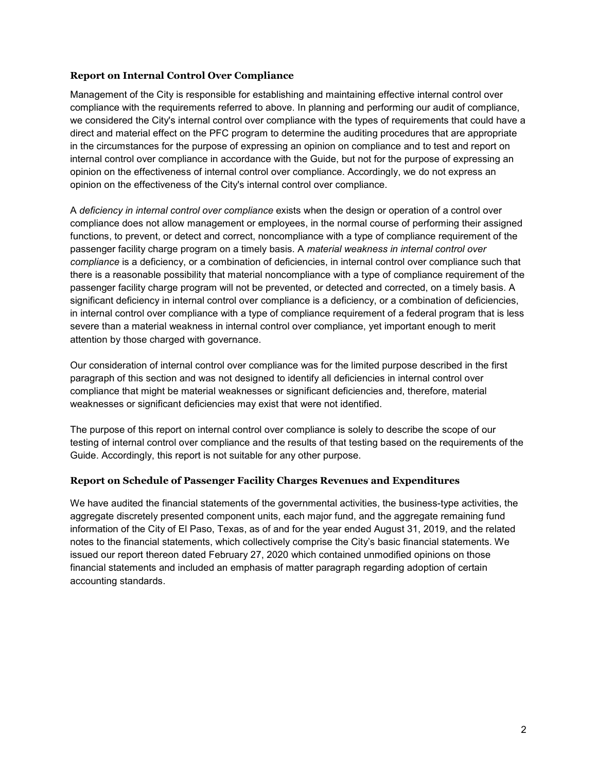### **Report on Internal Control Over Compliance**

Management of the City is responsible for establishing and maintaining effective internal control over compliance with the requirements referred to above. In planning and performing our audit of compliance, we considered the City's internal control over compliance with the types of requirements that could have a direct and material effect on the PFC program to determine the auditing procedures that are appropriate in the circumstances for the purpose of expressing an opinion on compliance and to test and report on internal control over compliance in accordance with the Guide, but not for the purpose of expressing an opinion on the effectiveness of internal control over compliance. Accordingly, we do not express an opinion on the effectiveness of the City's internal control over compliance.

A *deficiency in internal control over compliance* exists when the design or operation of a control over compliance does not allow management or employees, in the normal course of performing their assigned functions, to prevent, or detect and correct, noncompliance with a type of compliance requirement of the passenger facility charge program on a timely basis. A *material weakness in internal control over compliance* is a deficiency, or a combination of deficiencies, in internal control over compliance such that there is a reasonable possibility that material noncompliance with a type of compliance requirement of the passenger facility charge program will not be prevented, or detected and corrected, on a timely basis. A significant deficiency in internal control over compliance is a deficiency, or a combination of deficiencies, in internal control over compliance with a type of compliance requirement of a federal program that is less severe than a material weakness in internal control over compliance, yet important enough to merit attention by those charged with governance.

Our consideration of internal control over compliance was for the limited purpose described in the first paragraph of this section and was not designed to identify all deficiencies in internal control over compliance that might be material weaknesses or significant deficiencies and, therefore, material weaknesses or significant deficiencies may exist that were not identified.

The purpose of this report on internal control over compliance is solely to describe the scope of our testing of internal control over compliance and the results of that testing based on the requirements of the Guide. Accordingly, this report is not suitable for any other purpose.

### **Report on Schedule of Passenger Facility Charges Revenues and Expenditures**

We have audited the financial statements of the governmental activities, the business-type activities, the aggregate discretely presented component units, each major fund, and the aggregate remaining fund information of the City of El Paso, Texas, as of and for the year ended August 31, 2019, and the related notes to the financial statements, which collectively comprise the City's basic financial statements. We issued our report thereon dated February 27, 2020 which contained unmodified opinions on those financial statements and included an emphasis of matter paragraph regarding adoption of certain accounting standards.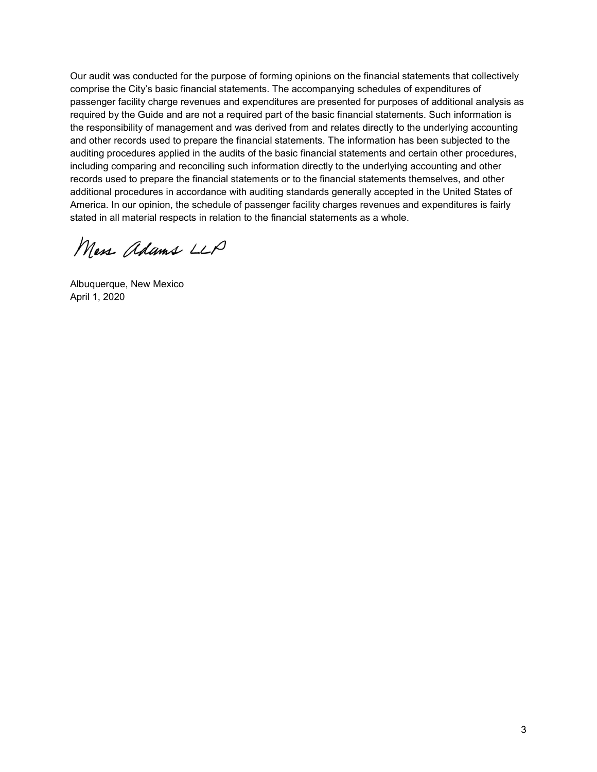Our audit was conducted for the purpose of forming opinions on the financial statements that collectively comprise the City's basic financial statements. The accompanying schedules of expenditures of passenger facility charge revenues and expenditures are presented for purposes of additional analysis as required by the Guide and are not a required part of the basic financial statements. Such information is the responsibility of management and was derived from and relates directly to the underlying accounting and other records used to prepare the financial statements. The information has been subjected to the auditing procedures applied in the audits of the basic financial statements and certain other procedures, including comparing and reconciling such information directly to the underlying accounting and other records used to prepare the financial statements or to the financial statements themselves, and other additional procedures in accordance with auditing standards generally accepted in the United States of America. In our opinion, the schedule of passenger facility charges revenues and expenditures is fairly stated in all material respects in relation to the financial statements as a whole.

Mess adams LLP

Albuquerque, New Mexico April 1, 2020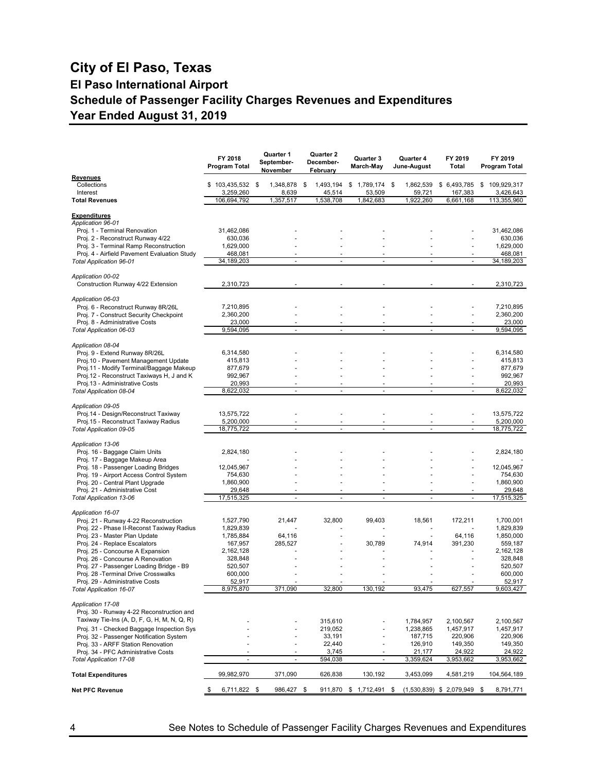### **City of El Paso, Texas El Paso International Airport Schedule of Passenger Facility Charges Revenues and Expenditures Year Ended August 31, 2019**

|                                                                                          | FY 2018<br>Program Total | Quarter 1<br>September-<br>November | Quarter 2<br>December-<br>February               | Quarter 3<br>March-May   | Quarter 4<br>June-August | FY 2019<br>Total              | FY 2019<br>Program Total |
|------------------------------------------------------------------------------------------|--------------------------|-------------------------------------|--------------------------------------------------|--------------------------|--------------------------|-------------------------------|--------------------------|
| Revenues<br>Collections                                                                  | $$103,435,532$ \$        | 1,348,878                           | 1,493,194<br>\$                                  | \$1,789,174              | 1,862,539<br>\$          | \$6,493,785                   | \$<br>109,929,317        |
| Interest<br><b>Total Revenues</b>                                                        | 3,259,260<br>106,694,792 | 8,639<br>1,357,517                  | 45,514<br>1,538,708                              | 53,509<br>1,842,683      | 59,721<br>1,922,260      | 167,383<br>6,661,168          | 3,426,643<br>113,355,960 |
|                                                                                          |                          |                                     |                                                  |                          |                          |                               |                          |
| <b>Expenditures</b><br>Application 96-01                                                 |                          |                                     |                                                  |                          |                          |                               |                          |
| Proj. 1 - Terminal Renovation                                                            | 31,462,086               |                                     |                                                  |                          |                          |                               | 31,462,086               |
| Proj. 2 - Reconstruct Runway 4/22<br>Proj. 3 - Terminal Ramp Reconstruction              | 630,036<br>1,629,000     |                                     |                                                  |                          |                          |                               | 630,036<br>1,629,000     |
| Proj. 4 - Airfield Pavement Evaluation Study                                             | 468,081                  |                                     |                                                  |                          |                          |                               | 468,081                  |
| <b>Total Application 96-01</b>                                                           | 34,189,203               | $\sim$                              | $\omega$                                         | $\overline{a}$           | $\overline{a}$           | $\omega$                      | 34,189,203               |
| Application 00-02                                                                        |                          |                                     |                                                  |                          |                          |                               |                          |
| Construction Runway 4/22 Extension                                                       | 2,310,723                |                                     |                                                  |                          |                          |                               | 2,310,723                |
| Application 06-03                                                                        |                          |                                     |                                                  |                          |                          |                               |                          |
| Proj. 6 - Reconstruct Runway 8R/26L                                                      | 7,210,895                |                                     |                                                  |                          |                          |                               | 7,210,895                |
| Proj. 7 - Construct Security Checkpoint<br>Proj. 8 - Administrative Costs                | 2,360,200                |                                     |                                                  |                          |                          | ä,                            | 2,360,200                |
| Total Application 06-03                                                                  | 23,000<br>9,594,095      | ÷,                                  | ä,                                               |                          |                          | $\bar{\phantom{a}}$           | 23,000<br>9,594,095      |
| Application 08-04                                                                        |                          |                                     |                                                  |                          |                          |                               |                          |
| Proj. 9 - Extend Runway 8R/26L                                                           | 6,314,580                |                                     |                                                  |                          |                          |                               | 6,314,580                |
| Proj.10 - Pavement Management Update                                                     | 415,813                  |                                     |                                                  |                          |                          |                               | 415,813                  |
| Proj.11 - Modify Terminal/Baggage Makeup<br>Proj.12 - Reconstruct Taxiways H, J and K    | 877,679<br>992,967       |                                     |                                                  |                          |                          | $\ddot{\phantom{1}}$          | 877,679<br>992,967       |
| Proj.13 - Administrative Costs                                                           | 20,993                   |                                     |                                                  |                          |                          | $\ddot{\phantom{1}}$          | 20,993                   |
| Total Application 08-04                                                                  | 8,622,032                | ä,                                  | ä,                                               |                          |                          | ä,                            | 8,622,032                |
| Application 09-05                                                                        |                          |                                     |                                                  |                          |                          |                               |                          |
| Proj.14 - Design/Reconstruct Taxiway                                                     | 13,575,722               |                                     |                                                  |                          |                          |                               | 13,575,722               |
| Proj.15 - Reconstruct Taxiway Radius<br>Total Application 09-05                          | 5,200,000<br>18,775,722  |                                     | $\ddot{\phantom{1}}$<br>$\overline{\phantom{a}}$ | $\ddot{\phantom{1}}$     | ä,                       | $\ddot{\phantom{1}}$          | 5,200,000<br>18,775,722  |
| Application 13-06                                                                        |                          |                                     |                                                  |                          |                          |                               |                          |
| Proj. 16 - Baggage Claim Units                                                           | 2,824,180                |                                     |                                                  |                          |                          |                               | 2,824,180                |
| Proj. 17 - Baggage Makeup Area                                                           |                          |                                     |                                                  |                          |                          |                               |                          |
| Proj. 18 - Passenger Loading Bridges                                                     | 12,045,967               |                                     |                                                  |                          |                          |                               | 12,045,967               |
| Proj. 19 - Airport Access Control System<br>Proj. 20 - Central Plant Upgrade             | 754,630<br>1,860,900     |                                     |                                                  |                          |                          | ÷.                            | 754,630<br>1,860,900     |
| Proj. 21 - Administrative Cost                                                           | 29,648                   |                                     |                                                  |                          |                          |                               | 29,648                   |
| Total Application 13-06                                                                  | 17,515,325               | $\sim$                              | ä,                                               |                          | ä,                       | $\omega$                      | 17,515,325               |
| Application 16-07                                                                        |                          |                                     |                                                  |                          |                          |                               |                          |
| Proj. 21 - Runway 4-22 Reconstruction                                                    | 1,527,790                | 21,447                              | 32,800                                           | 99,403                   | 18,561                   | 172,211                       | 1,700,001                |
| Proj. 22 - Phase II-Reconst Taxiway Radius<br>Proj. 23 - Master Plan Update              | 1,829,839<br>1,785,884   | 64,116                              |                                                  |                          |                          | 64,116                        | 1,829,839<br>1,850,000   |
| Proj. 24 - Replace Escalators                                                            | 167,957                  | 285,527                             |                                                  | 30,789                   | 74,914                   | 391,230                       | 559,187                  |
| Proj. 25 - Concourse A Expansion                                                         | 2,162,128                |                                     |                                                  |                          |                          |                               | 2,162,128                |
| Proj. 26 - Concourse A Renovation                                                        | 328,848                  |                                     |                                                  |                          |                          |                               | 328,848                  |
| Proj. 27 - Passenger Loading Bridge - B9<br>Proj. 28 - Terminal Drive Crosswalks         | 520,507<br>600,000       |                                     |                                                  |                          |                          |                               | 520,507<br>600,000       |
| Proj. 29 - Administrative Costs                                                          | 52,917                   |                                     |                                                  |                          |                          |                               | 52,917                   |
| <b>Total Application 16-07</b>                                                           | 8,975,870                | 371,090                             | 32,800                                           | 130,192                  | 93,475                   | 627,557                       | 9,603,427                |
| Application 17-08                                                                        |                          |                                     |                                                  |                          |                          |                               |                          |
| Proj. 30 - Runway 4-22 Reconstruction and<br>Taxiway Tie-Ins (A, D, F, G, H, M, N, Q, R) |                          |                                     |                                                  |                          |                          |                               |                          |
| Proj. 31 - Checked Baggage Inspection Sys                                                |                          |                                     | 315,610<br>219,052                               |                          | 1,784,957<br>1,238,865   | 2,100,567<br>1,457,917        | 2,100,567<br>1,457,917   |
| Proj. 32 - Passenger Notification System                                                 |                          |                                     | 33,191                                           |                          | 187,715                  | 220,906                       | 220,906                  |
| Proj. 33 - ARFF Station Renovation                                                       |                          |                                     | 22,440                                           |                          | 126,910                  | 149,350                       | 149,350                  |
| Proj. 34 - PFC Administrative Costs<br><b>Total Application 17-08</b>                    |                          | ÷,                                  | 3,745<br>594,038                                 | $\overline{\phantom{a}}$ | 21,177<br>3,359,624      | 24,922<br>3,953,662           | 24,922<br>3,953,662      |
|                                                                                          |                          |                                     |                                                  |                          |                          |                               |                          |
| <b>Total Expenditures</b>                                                                | 99,982,970               | 371,090                             | 626,838                                          | 130,192                  | 3,453,099                | 4,581,219                     | 104,564,189              |
| <b>Net PFC Revenue</b>                                                                   | 6,711,822 \$<br>\$       | 986,427 \$                          |                                                  | 911,870 \$ 1,712,491 \$  |                          | $(1,530,839)$ \$ 2,079,949 \$ | 8,791,771                |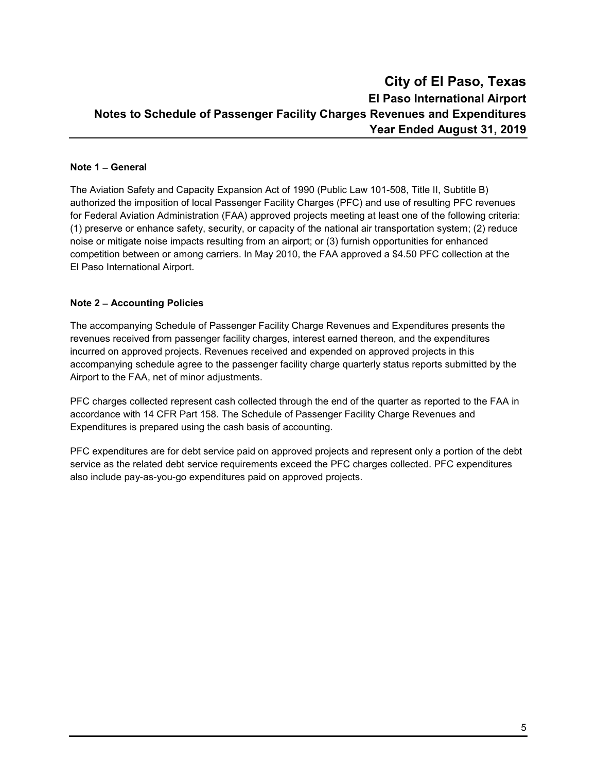### **City of El Paso, Texas El Paso International Airport Notes to Schedule of Passenger Facility Charges Revenues and Expenditures Year Ended August 31, 2019**

### **Note 1** − **General**

The Aviation Safety and Capacity Expansion Act of 1990 (Public Law 101-508, Title II, Subtitle B) authorized the imposition of local Passenger Facility Charges (PFC) and use of resulting PFC revenues for Federal Aviation Administration (FAA) approved projects meeting at least one of the following criteria: (1) preserve or enhance safety, security, or capacity of the national air transportation system; (2) reduce noise or mitigate noise impacts resulting from an airport; or (3) furnish opportunities for enhanced competition between or among carriers. In May 2010, the FAA approved a \$4.50 PFC collection at the El Paso International Airport.

### **Note 2** − **Accounting Policies**

The accompanying Schedule of Passenger Facility Charge Revenues and Expenditures presents the revenues received from passenger facility charges, interest earned thereon, and the expenditures incurred on approved projects. Revenues received and expended on approved projects in this accompanying schedule agree to the passenger facility charge quarterly status reports submitted by the Airport to the FAA, net of minor adjustments.

PFC charges collected represent cash collected through the end of the quarter as reported to the FAA in accordance with 14 CFR Part 158. The Schedule of Passenger Facility Charge Revenues and Expenditures is prepared using the cash basis of accounting.

PFC expenditures are for debt service paid on approved projects and represent only a portion of the debt service as the related debt service requirements exceed the PFC charges collected. PFC expenditures also include pay-as-you-go expenditures paid on approved projects.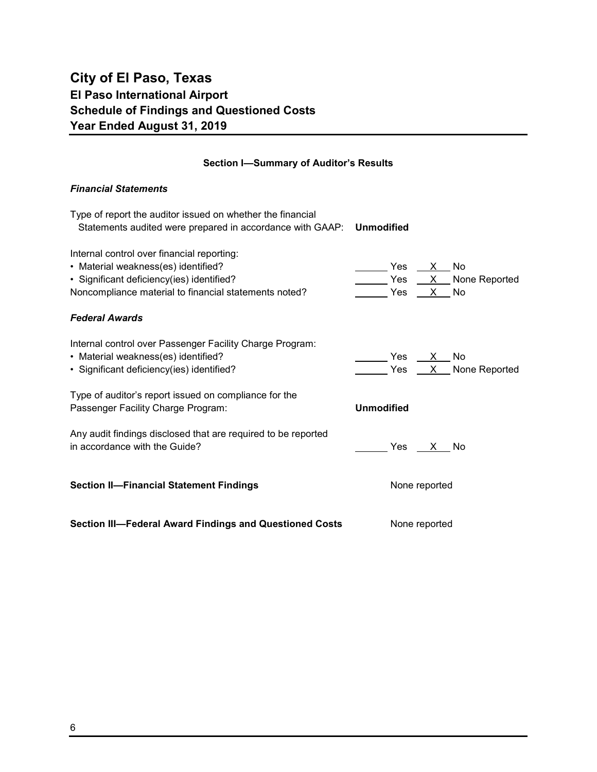## **City of El Paso, Texas El Paso International Airport Schedule of Findings and Questioned Costs Year Ended August 31, 2019**

### **Section I—Summary of Auditor's Results**

### *Financial Statements*

| Type of report the auditor issued on whether the financial<br>Statements audited were prepared in accordance with GAAP:                                                                 | <b>Unmodified</b>                                                   |  |  |  |
|-----------------------------------------------------------------------------------------------------------------------------------------------------------------------------------------|---------------------------------------------------------------------|--|--|--|
| Internal control over financial reporting:<br>• Material weakness(es) identified?<br>· Significant deficiency(ies) identified?<br>Noncompliance material to financial statements noted? | Yes<br>X No<br>$Yes$ $X$ None Reported<br>$\mathsf{X}$<br>Yes<br>No |  |  |  |
| <b>Federal Awards</b>                                                                                                                                                                   |                                                                     |  |  |  |
| Internal control over Passenger Facility Charge Program:<br>• Material weakness(es) identified?<br>· Significant deficiency(ies) identified?                                            | Yes $X_{-}$<br>No<br>Yes $X$ None Reported                          |  |  |  |
| Type of auditor's report issued on compliance for the<br>Passenger Facility Charge Program:                                                                                             | <b>Unmodified</b>                                                   |  |  |  |
| Any audit findings disclosed that are required to be reported<br>in accordance with the Guide?                                                                                          | Yes<br>X No                                                         |  |  |  |
| <b>Section II-Financial Statement Findings</b>                                                                                                                                          | None reported                                                       |  |  |  |
| Section III-Federal Award Findings and Questioned Costs<br>None reported                                                                                                                |                                                                     |  |  |  |